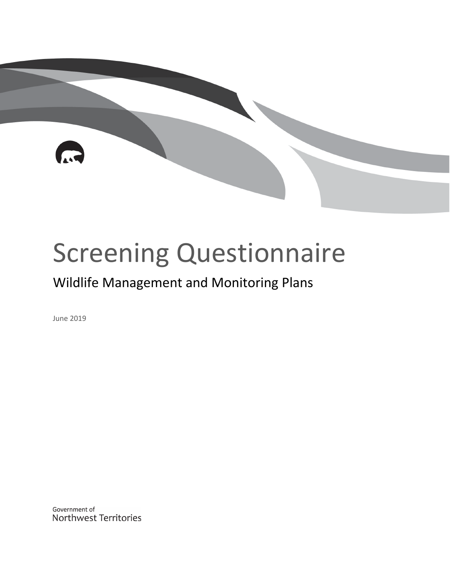# Screening Questionnaire

# Wildlife Management and Monitoring Plans

June 2019

Government of Northwest Territories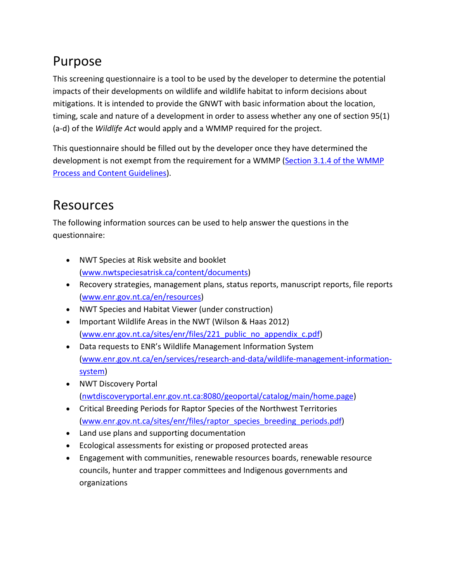## Purpose

This screening questionnaire is a tool to be used by the developer to determine the potential impacts of their developments on wildlife and wildlife habitat to inform decisions about mitigations. It is intended to provide the GNWT with basic information about the location, timing, scale and nature of a development in order to assess whether any one of section 95(1) (a-d) of the *Wildlife Act* would apply and a WMMP required for the project.

This questionnaire should be filled out by the developer once they have determined the development is not exempt from the requirement for a WMMP (Section 3.1.4 of the WMMP Process and Content Guidelines).

### Resources

The following information sources can be used to help answer the questions in the questionnaire:

- NWT Species at Risk website and booklet [\(www.nwtspeciesatrisk.ca/content/documents\)](http://www.nwtspeciesatrisk.ca/content/documents)
- Recovery strategies, management plans, status reports, manuscript reports, file reports [\(www.enr.gov.nt.ca/en/resources\)](http://www.enr.gov.nt.ca/en/resources)
- NWT Species and Habitat Viewer (under construction)
- Important Wildlife Areas in the NWT (Wilson & Haas 2012) [\(www.enr.gov.nt.ca/sites/enr/files/221\\_public\\_no\\_appendix\\_c.pdf\)](http://www.enr.gov.nt.ca/sites/enr/files/221_public_no_appendix_c.pdf)
- Data requests to ENR's Wildlife Management Information System [\(www.enr.gov.nt.ca/en/services/research-and-data/wildlife-management-information](http://www.enr.gov.nt.ca/en/services/research-and-data/wildlife-management-information-system)[system\)](http://www.enr.gov.nt.ca/en/services/research-and-data/wildlife-management-information-system)
- NWT Discovery Portal [\(nwtdiscoveryportal.enr.gov.nt.ca:8080/geoportal/catalog/main/home.page\)](http://nwtdiscoveryportal.enr.gov.nt.ca:8080/geoportal/catalog/main/home.page)
- Critical Breeding Periods for Raptor Species of the Northwest Territories [\(www.enr.gov.nt.ca/sites/enr/files/raptor\\_species\\_breeding\\_periods.pdf\)](http://www.enr.gov.nt.ca/sites/enr/files/raptor_species_breeding_periods.pdf)
- Land use plans and supporting documentation
- Ecological assessments for existing or proposed protected areas
- Engagement with communities, renewable resources boards, renewable resource councils, hunter and trapper committees and Indigenous governments and organizations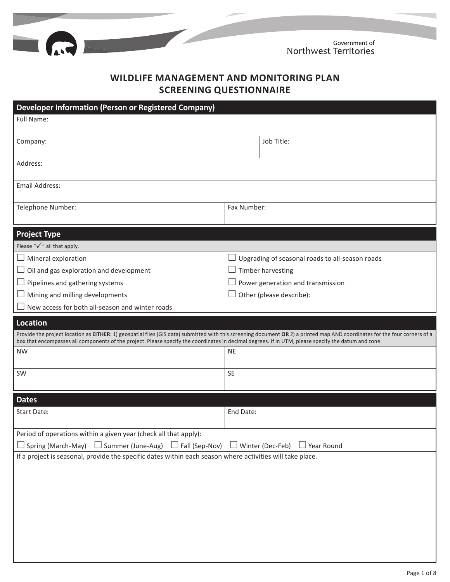

#### **WILDLIFE MANAGEMENT AND MONITORING PLAN SCREENING QUESTIONNAIRE**

| <b>Developer Information (Person or Registered Company)</b>                                                                                                                                                                                                                                                                                                         |             |                                                 |
|---------------------------------------------------------------------------------------------------------------------------------------------------------------------------------------------------------------------------------------------------------------------------------------------------------------------------------------------------------------------|-------------|-------------------------------------------------|
| Full Name:                                                                                                                                                                                                                                                                                                                                                          |             |                                                 |
| Company:                                                                                                                                                                                                                                                                                                                                                            |             |                                                 |
| Address:                                                                                                                                                                                                                                                                                                                                                            |             |                                                 |
| Email Address:                                                                                                                                                                                                                                                                                                                                                      |             |                                                 |
| Telephone Number:                                                                                                                                                                                                                                                                                                                                                   | Fax Number: |                                                 |
| <b>Project Type</b>                                                                                                                                                                                                                                                                                                                                                 |             |                                                 |
| Please " $\checkmark$ " all that apply.                                                                                                                                                                                                                                                                                                                             |             |                                                 |
| $\Box$ Mineral exploration                                                                                                                                                                                                                                                                                                                                          |             | Upgrading of seasonal roads to all-season roads |
| $\Box$ Oil and gas exploration and development                                                                                                                                                                                                                                                                                                                      |             | Timber harvesting                               |
| $\Box$ Pipelines and gathering systems                                                                                                                                                                                                                                                                                                                              |             | Power generation and transmission               |
| $\Box$ Mining and milling developments                                                                                                                                                                                                                                                                                                                              |             | Other (please describe):                        |
| New access for both all-season and winter roads                                                                                                                                                                                                                                                                                                                     |             |                                                 |
| <b>Location</b><br>Provide the project location as EITHER: 1) geospatial files (GIS data) submitted with this screening document OR 2) a printed map AND coordinates for the four corners of a<br>box that encompasses all components of the project. Please specify the coordinates in decimal degrees. If in UTM, please specify the datum and zone.<br><b>NW</b> | <b>NE</b>   |                                                 |
| <b>SW</b>                                                                                                                                                                                                                                                                                                                                                           | <b>SE</b>   |                                                 |
| <b>Dates</b>                                                                                                                                                                                                                                                                                                                                                        |             |                                                 |
| <b>Start Date:</b>                                                                                                                                                                                                                                                                                                                                                  | End Date:   |                                                 |
| Period of operations within a given year (check all that apply):                                                                                                                                                                                                                                                                                                    |             |                                                 |
| $\Box$ Spring (March-May) $\Box$ Summer (June-Aug) $\Box$ Fall (Sep-Nov) $\Box$ Winter (Dec-Feb) $\Box$ Year Round                                                                                                                                                                                                                                                  |             |                                                 |
| If a project is seasonal, provide the specific dates within each season where activities will take place.                                                                                                                                                                                                                                                           |             |                                                 |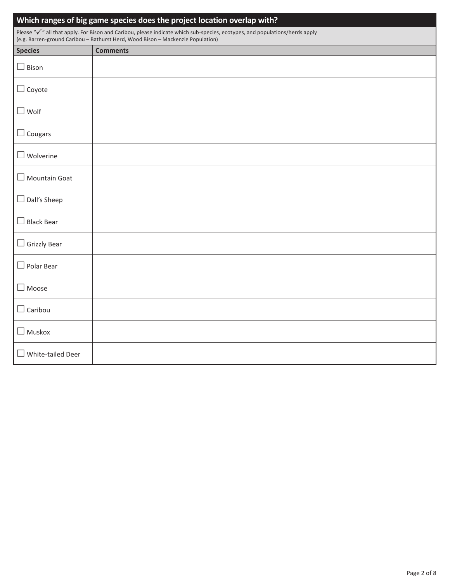|                             | Which ranges of big game species does the project location overlap with?                                                                                                                                      |
|-----------------------------|---------------------------------------------------------------------------------------------------------------------------------------------------------------------------------------------------------------|
|                             | Please "√" all that apply. For Bison and Caribou, please indicate which sub-species, ecotypes, and populations/herds apply<br>(e.g. Barren-ground Caribou - Bathurst Herd, Wood Bison - Mackenzie Population) |
| <b>Species</b>              | <b>Comments</b>                                                                                                                                                                                               |
| $\Box$ Bison                |                                                                                                                                                                                                               |
| $\Box$ Coyote               |                                                                                                                                                                                                               |
| $\Box$ Wolf                 |                                                                                                                                                                                                               |
| $\Box$ Cougars              |                                                                                                                                                                                                               |
| $\square$ Wolverine         |                                                                                                                                                                                                               |
| $\Box$ Mountain Goat        |                                                                                                                                                                                                               |
| $\Box$ Dall's Sheep         |                                                                                                                                                                                                               |
| $\Box$ Black Bear           |                                                                                                                                                                                                               |
| $\Box$ Grizzly Bear         |                                                                                                                                                                                                               |
| $\square$ Polar Bear        |                                                                                                                                                                                                               |
| $\square$ Moose             |                                                                                                                                                                                                               |
| $\Box$ Caribou              |                                                                                                                                                                                                               |
| $\square$ Muskox            |                                                                                                                                                                                                               |
| $\square$ White-tailed Deer |                                                                                                                                                                                                               |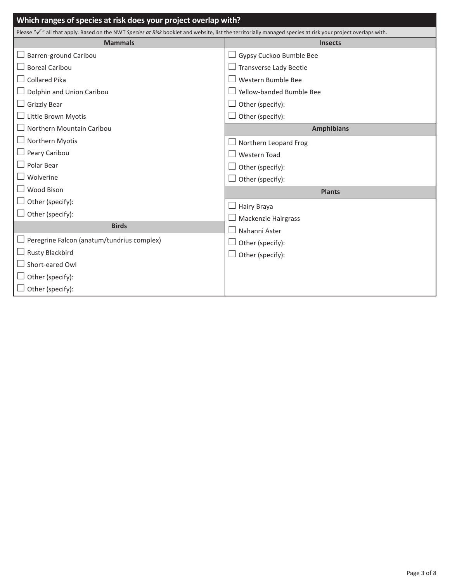| Which ranges of species at risk does your project overlap with?                                                                                                         |                            |  |
|-------------------------------------------------------------------------------------------------------------------------------------------------------------------------|----------------------------|--|
| Please " $\sqrt{\ }$ " all that apply. Based on the NWT Species at Risk booklet and website, list the territorially managed species at risk your project overlaps with. |                            |  |
| <b>Mammals</b>                                                                                                                                                          | <b>Insects</b>             |  |
| $\Box$ Barren-ground Caribou                                                                                                                                            | Gypsy Cuckoo Bumble Bee    |  |
| $\Box$ Boreal Caribou                                                                                                                                                   | Transverse Lady Beetle     |  |
| $\Box$ Collared Pika                                                                                                                                                    | Western Bumble Bee         |  |
| $\Box$ Dolphin and Union Caribou                                                                                                                                        | Yellow-banded Bumble Bee   |  |
| $\Box$ Grizzly Bear                                                                                                                                                     | Other (specify):           |  |
| $\Box$ Little Brown Myotis                                                                                                                                              | Other (specify):           |  |
| $\Box$ Northern Mountain Caribou                                                                                                                                        | <b>Amphibians</b>          |  |
| $\Box$ Northern Myotis                                                                                                                                                  | Northern Leopard Frog      |  |
| $\Box$ Peary Caribou                                                                                                                                                    | <b>Western Toad</b>        |  |
| $\Box$ Polar Bear                                                                                                                                                       | Other (specify):           |  |
| $\Box$ Wolverine                                                                                                                                                        | Other (specify):           |  |
| $\Box$ Wood Bison                                                                                                                                                       | <b>Plants</b>              |  |
| $\Box$ Other (specify):                                                                                                                                                 | $\Box$ Hairy Braya         |  |
| $\Box$ Other (specify):                                                                                                                                                 | $\Box$ Mackenzie Hairgrass |  |
| <b>Birds</b>                                                                                                                                                            | Nahanni Aster              |  |
| $\Box$ Peregrine Falcon (anatum/tundrius complex)                                                                                                                       | Other (specify):           |  |
| $\Box$ Rusty Blackbird                                                                                                                                                  | Other (specify):           |  |
| $\Box$ Short-eared Owl                                                                                                                                                  |                            |  |
| $\Box$ Other (specify):                                                                                                                                                 |                            |  |
| $\Box$ Other (specify):                                                                                                                                                 |                            |  |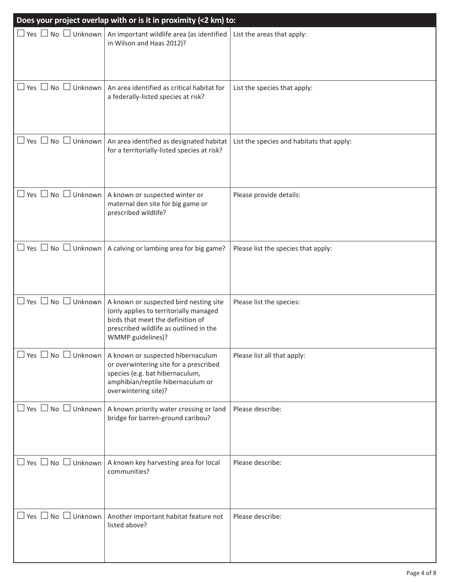|                                     | Does your project overlap with or is it in proximity (<2 km) to:                                                                                                                     |                                           |
|-------------------------------------|--------------------------------------------------------------------------------------------------------------------------------------------------------------------------------------|-------------------------------------------|
| $\Box$ Yes $\Box$ No $\Box$ Unknown | An important wildlife area (as identified<br>in Wilson and Haas 2012)?                                                                                                               | List the areas that apply:                |
| $\Box$ Yes $\Box$ No $\Box$ Unknown | An area identified as critical habitat for<br>a federally-listed species at risk?                                                                                                    | List the species that apply:              |
| $\Box$ Yes $\Box$ No $\Box$ Unknown | An area identified as designated habitat<br>for a territorially-listed species at risk?                                                                                              | List the species and habitats that apply: |
| $\Box$ Yes $\Box$ No $\Box$ Unknown | A known or suspected winter or<br>maternal den site for big game or<br>prescribed wildlife?                                                                                          | Please provide details:                   |
| $\Box$ Yes $\Box$ No $\Box$ Unknown | A calving or lambing area for big game?                                                                                                                                              | Please list the species that apply:       |
| $\Box$ Yes $\Box$ No $\Box$ Unknown | A known or suspected bird nesting site<br>(only applies to territorially managed<br>birds that meet the definition of<br>prescribed wildlife as outlined in the<br>WMMP guidelines)? | Please list the species:                  |
| $\Box$ Yes $\Box$ No $\Box$ Unknown | A known or suspected hibernaculum<br>or overwintering site for a prescribed<br>species (e.g. bat hibernaculum,<br>amphibian/reptile hibernaculum or<br>overwintering site)?          | Please list all that apply:               |
| $\Box$ Yes $\Box$ No $\Box$ Unknown | A known priority water crossing or land<br>bridge for barren-ground caribou?                                                                                                         | Please describe:                          |
| $\Box$ Yes $\Box$ No $\Box$ Unknown | A known key harvesting area for local<br>communities?                                                                                                                                | Please describe:                          |
| $\Box$ Yes $\Box$ No $\Box$ Unknown | Another important habitat feature not<br>listed above?                                                                                                                               | Please describe:                          |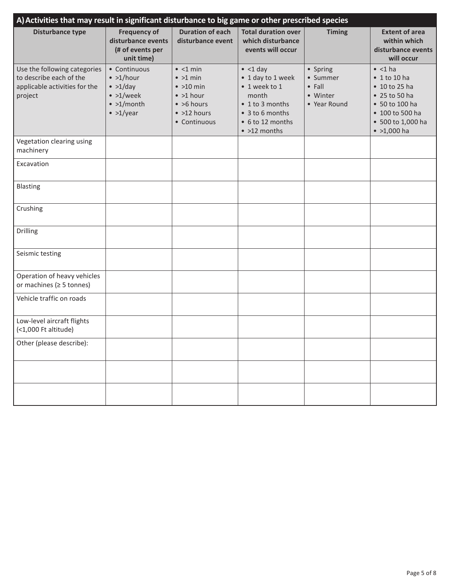| A) Activities that may result in significant disturbance to big game or other prescribed species    |                                                                                                                       |                                                                                                                                             |                                                                                                                                           |                                                                    |                                                                                                                                                            |
|-----------------------------------------------------------------------------------------------------|-----------------------------------------------------------------------------------------------------------------------|---------------------------------------------------------------------------------------------------------------------------------------------|-------------------------------------------------------------------------------------------------------------------------------------------|--------------------------------------------------------------------|------------------------------------------------------------------------------------------------------------------------------------------------------------|
| <b>Disturbance type</b>                                                                             | <b>Frequency of</b><br>disturbance events<br>(# of events per<br>unit time)                                           | <b>Duration of each</b><br>disturbance event                                                                                                | <b>Total duration over</b><br>which disturbance<br>events will occur                                                                      | <b>Timing</b>                                                      | <b>Extent of area</b><br>within which<br>disturbance events<br>will occur                                                                                  |
| Use the following categories<br>to describe each of the<br>applicable activities for the<br>project | • Continuous<br>$\bullet$ >1/hour<br>$\bullet$ >1/day<br>$\bullet$ >1/week<br>$\bullet$ >1/month<br>$\bullet$ >1/year | $\bullet$ <1 min<br>$\bullet$ >1 min<br>$\bullet$ >10 min<br>$\bullet$ >1 hour<br>$\bullet$ >6 hours<br>$\bullet$ >12 hours<br>• Continuous | $\bullet$ <1 day<br>• 1 day to 1 week<br>• 1 week to 1<br>month<br>• 1 to 3 months<br>• 3 to 6 months<br>• 6 to 12 months<br>• >12 months | • Spring<br>• Summer<br>$\bullet$ Fall<br>• Winter<br>• Year Round | $\bullet$ <1 ha<br>$\bullet$ 1 to 10 ha<br>• 10 to 25 ha<br>• 25 to 50 ha<br>• 50 to 100 ha<br>• 100 to 500 ha<br>• 500 to 1,000 ha<br>$\bullet$ >1,000 ha |
| Vegetation clearing using<br>machinery                                                              |                                                                                                                       |                                                                                                                                             |                                                                                                                                           |                                                                    |                                                                                                                                                            |
| Excavation                                                                                          |                                                                                                                       |                                                                                                                                             |                                                                                                                                           |                                                                    |                                                                                                                                                            |
| Blasting                                                                                            |                                                                                                                       |                                                                                                                                             |                                                                                                                                           |                                                                    |                                                                                                                                                            |
| Crushing                                                                                            |                                                                                                                       |                                                                                                                                             |                                                                                                                                           |                                                                    |                                                                                                                                                            |
| Drilling                                                                                            |                                                                                                                       |                                                                                                                                             |                                                                                                                                           |                                                                    |                                                                                                                                                            |
| Seismic testing                                                                                     |                                                                                                                       |                                                                                                                                             |                                                                                                                                           |                                                                    |                                                                                                                                                            |
| Operation of heavy vehicles<br>or machines ( $\geq$ 5 tonnes)                                       |                                                                                                                       |                                                                                                                                             |                                                                                                                                           |                                                                    |                                                                                                                                                            |
| Vehicle traffic on roads                                                                            |                                                                                                                       |                                                                                                                                             |                                                                                                                                           |                                                                    |                                                                                                                                                            |
| Low-level aircraft flights<br>(<1,000 Ft altitude)                                                  |                                                                                                                       |                                                                                                                                             |                                                                                                                                           |                                                                    |                                                                                                                                                            |
| Other (please describe):                                                                            |                                                                                                                       |                                                                                                                                             |                                                                                                                                           |                                                                    |                                                                                                                                                            |
|                                                                                                     |                                                                                                                       |                                                                                                                                             |                                                                                                                                           |                                                                    |                                                                                                                                                            |
|                                                                                                     |                                                                                                                       |                                                                                                                                             |                                                                                                                                           |                                                                    |                                                                                                                                                            |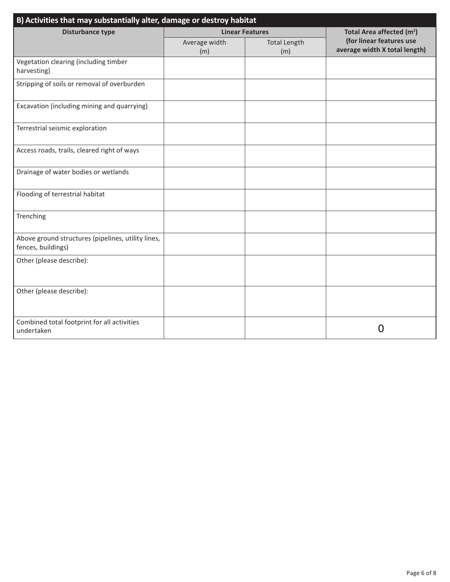| B) Activities that may substantially alter, damage or destroy habitat    |                        |                                       |                                                           |  |
|--------------------------------------------------------------------------|------------------------|---------------------------------------|-----------------------------------------------------------|--|
| <b>Disturbance type</b>                                                  | <b>Linear Features</b> | Total Area affected (m <sup>2</sup> ) |                                                           |  |
|                                                                          | Average width<br>(m)   | <b>Total Length</b><br>(m)            | (for linear features use<br>average width X total length) |  |
| Vegetation clearing (including timber<br>harvesting)                     |                        |                                       |                                                           |  |
| Stripping of soils or removal of overburden                              |                        |                                       |                                                           |  |
| Excavation (including mining and quarrying)                              |                        |                                       |                                                           |  |
| Terrestrial seismic exploration                                          |                        |                                       |                                                           |  |
| Access roads, trails, cleared right of ways                              |                        |                                       |                                                           |  |
| Drainage of water bodies or wetlands                                     |                        |                                       |                                                           |  |
| Flooding of terrestrial habitat                                          |                        |                                       |                                                           |  |
| Trenching                                                                |                        |                                       |                                                           |  |
| Above ground structures (pipelines, utility lines,<br>fences, buildings) |                        |                                       |                                                           |  |
| Other (please describe):                                                 |                        |                                       |                                                           |  |
| Other (please describe):                                                 |                        |                                       |                                                           |  |
| Combined total footprint for all activities<br>undertaken                |                        |                                       | ( )                                                       |  |